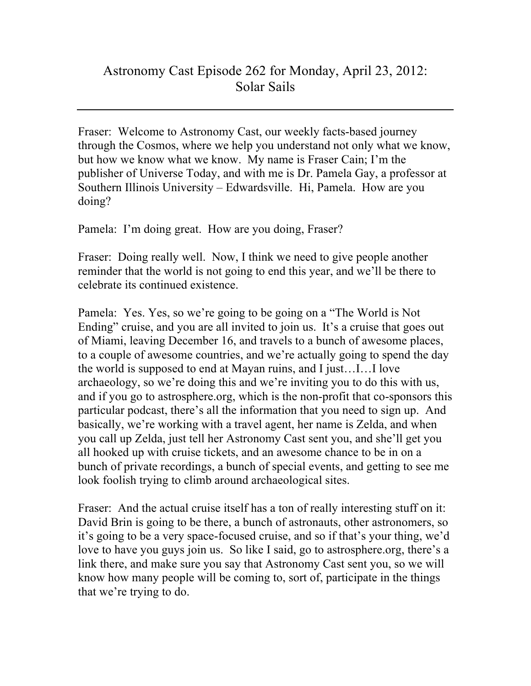Fraser: Welcome to Astronomy Cast, our weekly facts-based journey through the Cosmos, where we help you understand not only what we know, but how we know what we know. My name is Fraser Cain; I'm the publisher of Universe Today, and with me is Dr. Pamela Gay, a professor at Southern Illinois University – Edwardsville. Hi, Pamela. How are you doing?

Pamela: I'm doing great. How are you doing, Fraser?

Fraser: Doing really well. Now, I think we need to give people another reminder that the world is not going to end this year, and we'll be there to celebrate its continued existence.

Pamela: Yes. Yes, so we're going to be going on a "The World is Not Ending" cruise, and you are all invited to join us. It's a cruise that goes out of Miami, leaving December 16, and travels to a bunch of awesome places, to a couple of awesome countries, and we're actually going to spend the day the world is supposed to end at Mayan ruins, and I just…I…I love archaeology, so we're doing this and we're inviting you to do this with us, and if you go to astrosphere.org, which is the non-profit that co-sponsors this particular podcast, there's all the information that you need to sign up. And basically, we're working with a travel agent, her name is Zelda, and when you call up Zelda, just tell her Astronomy Cast sent you, and she'll get you all hooked up with cruise tickets, and an awesome chance to be in on a bunch of private recordings, a bunch of special events, and getting to see me look foolish trying to climb around archaeological sites.

Fraser: And the actual cruise itself has a ton of really interesting stuff on it: David Brin is going to be there, a bunch of astronauts, other astronomers, so it's going to be a very space-focused cruise, and so if that's your thing, we'd love to have you guys join us. So like I said, go to astrosphere.org, there's a link there, and make sure you say that Astronomy Cast sent you, so we will know how many people will be coming to, sort of, participate in the things that we're trying to do.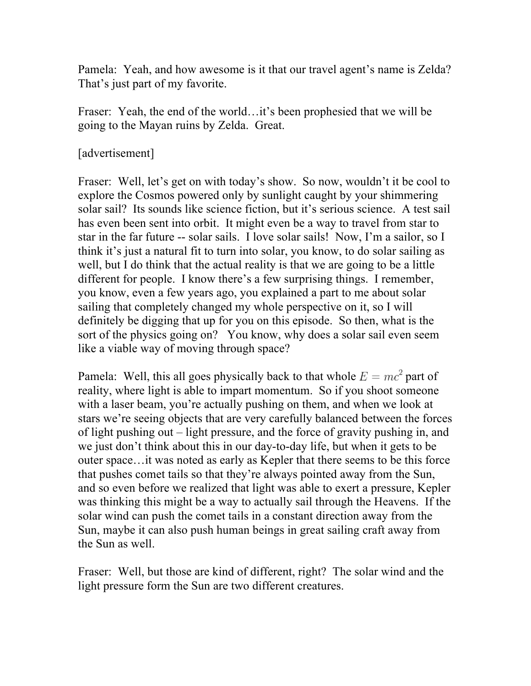Pamela: Yeah, and how awesome is it that our travel agent's name is Zelda? That's just part of my favorite.

Fraser: Yeah, the end of the world…it's been prophesied that we will be going to the Mayan ruins by Zelda. Great.

[advertisement]

Fraser: Well, let's get on with today's show. So now, wouldn't it be cool to explore the Cosmos powered only by sunlight caught by your shimmering solar sail? Its sounds like science fiction, but it's serious science. A test sail has even been sent into orbit. It might even be a way to travel from star to star in the far future -- solar sails. I love solar sails! Now, I'm a sailor, so I think it's just a natural fit to turn into solar, you know, to do solar sailing as well, but I do think that the actual reality is that we are going to be a little different for people. I know there's a few surprising things. I remember, you know, even a few years ago, you explained a part to me about solar sailing that completely changed my whole perspective on it, so I will definitely be digging that up for you on this episode. So then, what is the sort of the physics going on? You know, why does a solar sail even seem like a viable way of moving through space?

Pamela: Well, this all goes physically back to that whole  $E = mc^2$  part of reality, where light is able to impart momentum. So if you shoot someone with a laser beam, you're actually pushing on them, and when we look at stars we're seeing objects that are very carefully balanced between the forces of light pushing out – light pressure, and the force of gravity pushing in, and we just don't think about this in our day-to-day life, but when it gets to be outer space…it was noted as early as Kepler that there seems to be this force that pushes comet tails so that they're always pointed away from the Sun, and so even before we realized that light was able to exert a pressure, Kepler was thinking this might be a way to actually sail through the Heavens. If the solar wind can push the comet tails in a constant direction away from the Sun, maybe it can also push human beings in great sailing craft away from the Sun as well.

Fraser: Well, but those are kind of different, right? The solar wind and the light pressure form the Sun are two different creatures.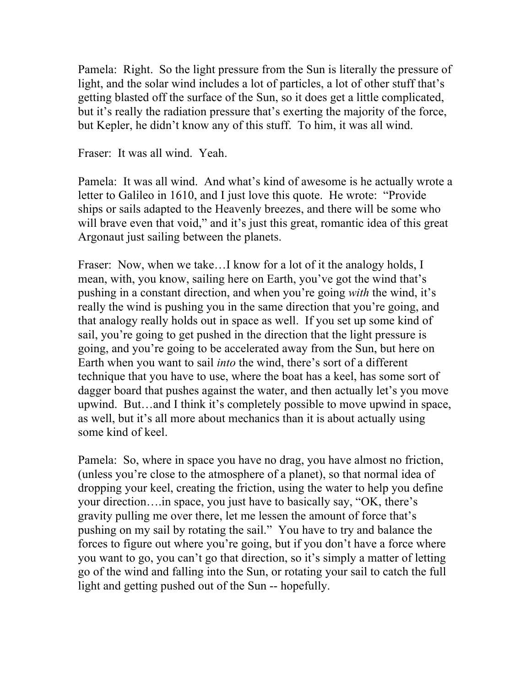Pamela: Right. So the light pressure from the Sun is literally the pressure of light, and the solar wind includes a lot of particles, a lot of other stuff that's getting blasted off the surface of the Sun, so it does get a little complicated, but it's really the radiation pressure that's exerting the majority of the force, but Kepler, he didn't know any of this stuff. To him, it was all wind.

Fraser: It was all wind. Yeah.

Pamela: It was all wind. And what's kind of awesome is he actually wrote a letter to Galileo in 1610, and I just love this quote. He wrote: "Provide ships or sails adapted to the Heavenly breezes, and there will be some who will brave even that void," and it's just this great, romantic idea of this great Argonaut just sailing between the planets.

Fraser: Now, when we take...I know for a lot of it the analogy holds, I mean, with, you know, sailing here on Earth, you've got the wind that's pushing in a constant direction, and when you're going *with* the wind, it's really the wind is pushing you in the same direction that you're going, and that analogy really holds out in space as well. If you set up some kind of sail, you're going to get pushed in the direction that the light pressure is going, and you're going to be accelerated away from the Sun, but here on Earth when you want to sail *into* the wind, there's sort of a different technique that you have to use, where the boat has a keel, has some sort of dagger board that pushes against the water, and then actually let's you move upwind. But…and I think it's completely possible to move upwind in space, as well, but it's all more about mechanics than it is about actually using some kind of keel.

Pamela: So, where in space you have no drag, you have almost no friction, (unless you're close to the atmosphere of a planet), so that normal idea of dropping your keel, creating the friction, using the water to help you define your direction….in space, you just have to basically say, "OK, there's gravity pulling me over there, let me lessen the amount of force that's pushing on my sail by rotating the sail." You have to try and balance the forces to figure out where you're going, but if you don't have a force where you want to go, you can't go that direction, so it's simply a matter of letting go of the wind and falling into the Sun, or rotating your sail to catch the full light and getting pushed out of the Sun -- hopefully.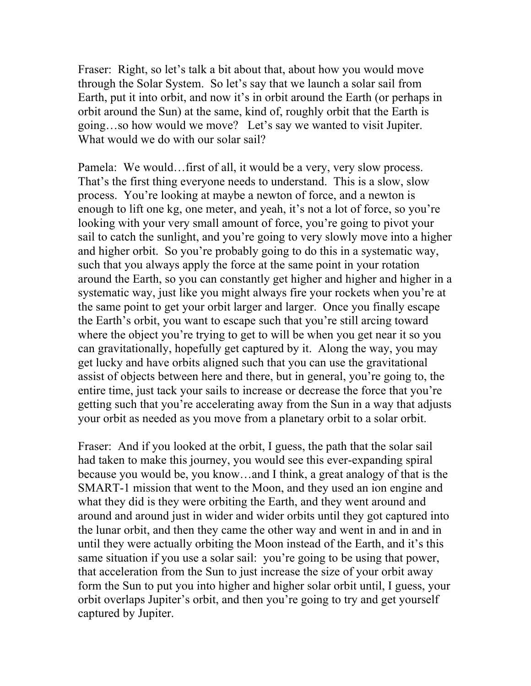Fraser: Right, so let's talk a bit about that, about how you would move through the Solar System. So let's say that we launch a solar sail from Earth, put it into orbit, and now it's in orbit around the Earth (or perhaps in orbit around the Sun) at the same, kind of, roughly orbit that the Earth is going…so how would we move? Let's say we wanted to visit Jupiter. What would we do with our solar sail?

Pamela: We would…first of all, it would be a very, very slow process. That's the first thing everyone needs to understand. This is a slow, slow process. You're looking at maybe a newton of force, and a newton is enough to lift one kg, one meter, and yeah, it's not a lot of force, so you're looking with your very small amount of force, you're going to pivot your sail to catch the sunlight, and you're going to very slowly move into a higher and higher orbit. So you're probably going to do this in a systematic way, such that you always apply the force at the same point in your rotation around the Earth, so you can constantly get higher and higher and higher in a systematic way, just like you might always fire your rockets when you're at the same point to get your orbit larger and larger. Once you finally escape the Earth's orbit, you want to escape such that you're still arcing toward where the object you're trying to get to will be when you get near it so you can gravitationally, hopefully get captured by it. Along the way, you may get lucky and have orbits aligned such that you can use the gravitational assist of objects between here and there, but in general, you're going to, the entire time, just tack your sails to increase or decrease the force that you're getting such that you're accelerating away from the Sun in a way that adjusts your orbit as needed as you move from a planetary orbit to a solar orbit.

Fraser: And if you looked at the orbit, I guess, the path that the solar sail had taken to make this journey, you would see this ever-expanding spiral because you would be, you know…and I think, a great analogy of that is the SMART-1 mission that went to the Moon, and they used an ion engine and what they did is they were orbiting the Earth, and they went around and around and around just in wider and wider orbits until they got captured into the lunar orbit, and then they came the other way and went in and in and in until they were actually orbiting the Moon instead of the Earth, and it's this same situation if you use a solar sail: you're going to be using that power, that acceleration from the Sun to just increase the size of your orbit away form the Sun to put you into higher and higher solar orbit until, I guess, your orbit overlaps Jupiter's orbit, and then you're going to try and get yourself captured by Jupiter.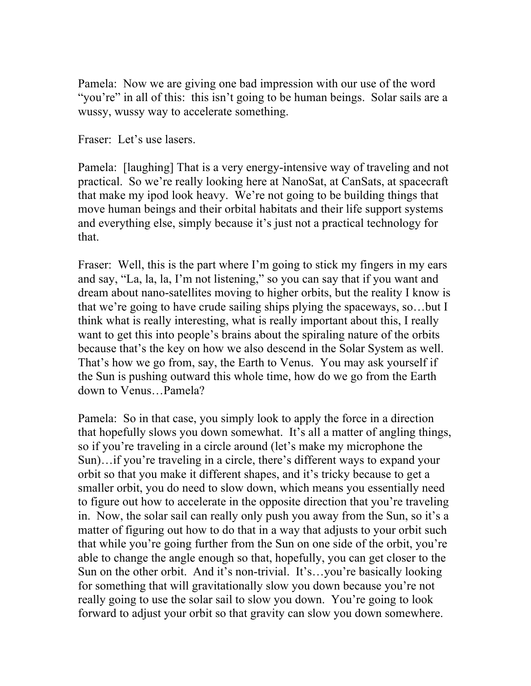Pamela: Now we are giving one bad impression with our use of the word "you're" in all of this: this isn't going to be human beings. Solar sails are a wussy, wussy way to accelerate something.

Fraser: Let's use lasers.

Pamela: [laughing] That is a very energy-intensive way of traveling and not practical. So we're really looking here at NanoSat, at CanSats, at spacecraft that make my ipod look heavy. We're not going to be building things that move human beings and their orbital habitats and their life support systems and everything else, simply because it's just not a practical technology for that.

Fraser: Well, this is the part where I'm going to stick my fingers in my ears and say, "La, la, la, I'm not listening," so you can say that if you want and dream about nano-satellites moving to higher orbits, but the reality I know is that we're going to have crude sailing ships plying the spaceways, so…but I think what is really interesting, what is really important about this, I really want to get this into people's brains about the spiraling nature of the orbits because that's the key on how we also descend in the Solar System as well. That's how we go from, say, the Earth to Venus. You may ask yourself if the Sun is pushing outward this whole time, how do we go from the Earth down to Venus…Pamela?

Pamela: So in that case, you simply look to apply the force in a direction that hopefully slows you down somewhat. It's all a matter of angling things, so if you're traveling in a circle around (let's make my microphone the Sun)…if you're traveling in a circle, there's different ways to expand your orbit so that you make it different shapes, and it's tricky because to get a smaller orbit, you do need to slow down, which means you essentially need to figure out how to accelerate in the opposite direction that you're traveling in. Now, the solar sail can really only push you away from the Sun, so it's a matter of figuring out how to do that in a way that adjusts to your orbit such that while you're going further from the Sun on one side of the orbit, you're able to change the angle enough so that, hopefully, you can get closer to the Sun on the other orbit. And it's non-trivial. It's…you're basically looking for something that will gravitationally slow you down because you're not really going to use the solar sail to slow you down. You're going to look forward to adjust your orbit so that gravity can slow you down somewhere.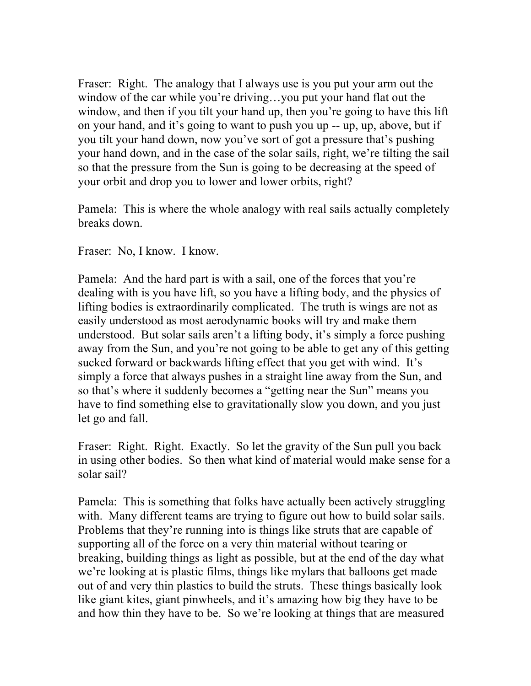Fraser: Right. The analogy that I always use is you put your arm out the window of the car while you're driving…you put your hand flat out the window, and then if you tilt your hand up, then you're going to have this lift on your hand, and it's going to want to push you up -- up, up, above, but if you tilt your hand down, now you've sort of got a pressure that's pushing your hand down, and in the case of the solar sails, right, we're tilting the sail so that the pressure from the Sun is going to be decreasing at the speed of your orbit and drop you to lower and lower orbits, right?

Pamela: This is where the whole analogy with real sails actually completely breaks down.

Fraser: No, I know. I know.

Pamela: And the hard part is with a sail, one of the forces that you're dealing with is you have lift, so you have a lifting body, and the physics of lifting bodies is extraordinarily complicated. The truth is wings are not as easily understood as most aerodynamic books will try and make them understood. But solar sails aren't a lifting body, it's simply a force pushing away from the Sun, and you're not going to be able to get any of this getting sucked forward or backwards lifting effect that you get with wind. It's simply a force that always pushes in a straight line away from the Sun, and so that's where it suddenly becomes a "getting near the Sun" means you have to find something else to gravitationally slow you down, and you just let go and fall.

Fraser: Right. Right. Exactly. So let the gravity of the Sun pull you back in using other bodies. So then what kind of material would make sense for a solar sail?

Pamela: This is something that folks have actually been actively struggling with. Many different teams are trying to figure out how to build solar sails. Problems that they're running into is things like struts that are capable of supporting all of the force on a very thin material without tearing or breaking, building things as light as possible, but at the end of the day what we're looking at is plastic films, things like mylars that balloons get made out of and very thin plastics to build the struts. These things basically look like giant kites, giant pinwheels, and it's amazing how big they have to be and how thin they have to be. So we're looking at things that are measured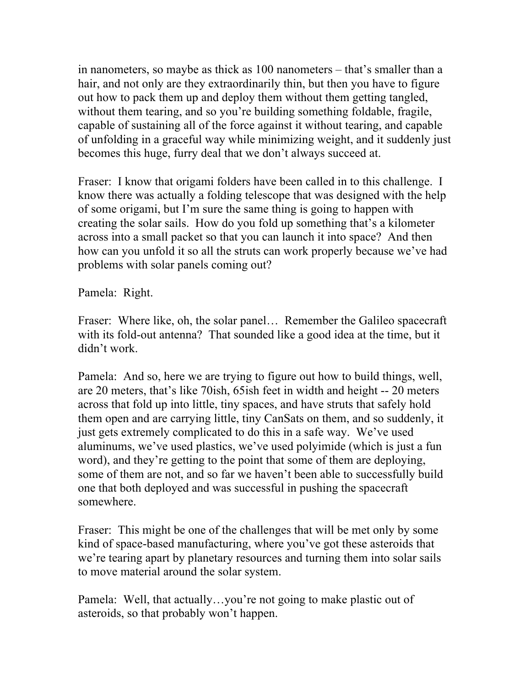in nanometers, so maybe as thick as 100 nanometers – that's smaller than a hair, and not only are they extraordinarily thin, but then you have to figure out how to pack them up and deploy them without them getting tangled, without them tearing, and so you're building something foldable, fragile, capable of sustaining all of the force against it without tearing, and capable of unfolding in a graceful way while minimizing weight, and it suddenly just becomes this huge, furry deal that we don't always succeed at.

Fraser: I know that origami folders have been called in to this challenge. I know there was actually a folding telescope that was designed with the help of some origami, but I'm sure the same thing is going to happen with creating the solar sails. How do you fold up something that's a kilometer across into a small packet so that you can launch it into space? And then how can you unfold it so all the struts can work properly because we've had problems with solar panels coming out?

Pamela: Right.

Fraser: Where like, oh, the solar panel… Remember the Galileo spacecraft with its fold-out antenna? That sounded like a good idea at the time, but it didn't work.

Pamela: And so, here we are trying to figure out how to build things, well, are 20 meters, that's like 70ish, 65ish feet in width and height -- 20 meters across that fold up into little, tiny spaces, and have struts that safely hold them open and are carrying little, tiny CanSats on them, and so suddenly, it just gets extremely complicated to do this in a safe way. We've used aluminums, we've used plastics, we've used polyimide (which is just a fun word), and they're getting to the point that some of them are deploying, some of them are not, and so far we haven't been able to successfully build one that both deployed and was successful in pushing the spacecraft somewhere.

Fraser: This might be one of the challenges that will be met only by some kind of space-based manufacturing, where you've got these asteroids that we're tearing apart by planetary resources and turning them into solar sails to move material around the solar system.

Pamela: Well, that actually…you're not going to make plastic out of asteroids, so that probably won't happen.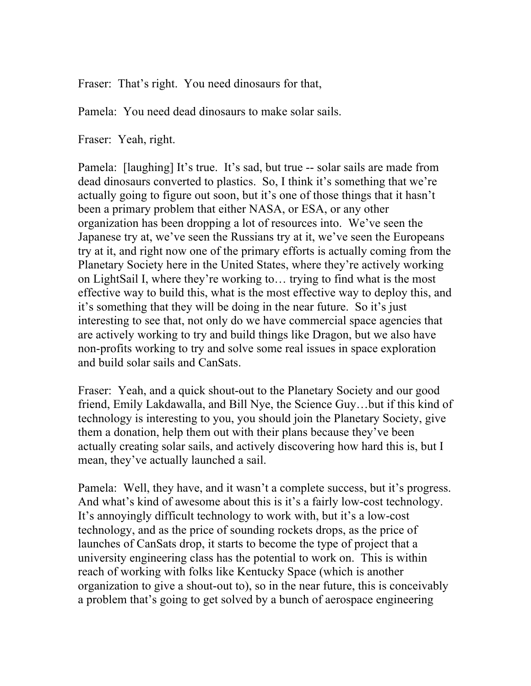Fraser: That's right. You need dinosaurs for that,

Pamela: You need dead dinosaurs to make solar sails.

Fraser: Yeah, right.

Pamela: [laughing] It's true. It's sad, but true -- solar sails are made from dead dinosaurs converted to plastics. So, I think it's something that we're actually going to figure out soon, but it's one of those things that it hasn't been a primary problem that either NASA, or ESA, or any other organization has been dropping a lot of resources into. We've seen the Japanese try at, we've seen the Russians try at it, we've seen the Europeans try at it, and right now one of the primary efforts is actually coming from the Planetary Society here in the United States, where they're actively working on LightSail I, where they're working to… trying to find what is the most effective way to build this, what is the most effective way to deploy this, and it's something that they will be doing in the near future. So it's just interesting to see that, not only do we have commercial space agencies that are actively working to try and build things like Dragon, but we also have non-profits working to try and solve some real issues in space exploration and build solar sails and CanSats.

Fraser: Yeah, and a quick shout-out to the Planetary Society and our good friend, Emily Lakdawalla, and Bill Nye, the Science Guy…but if this kind of technology is interesting to you, you should join the Planetary Society, give them a donation, help them out with their plans because they've been actually creating solar sails, and actively discovering how hard this is, but I mean, they've actually launched a sail.

Pamela: Well, they have, and it wasn't a complete success, but it's progress. And what's kind of awesome about this is it's a fairly low-cost technology. It's annoyingly difficult technology to work with, but it's a low-cost technology, and as the price of sounding rockets drops, as the price of launches of CanSats drop, it starts to become the type of project that a university engineering class has the potential to work on. This is within reach of working with folks like Kentucky Space (which is another organization to give a shout-out to), so in the near future, this is conceivably a problem that's going to get solved by a bunch of aerospace engineering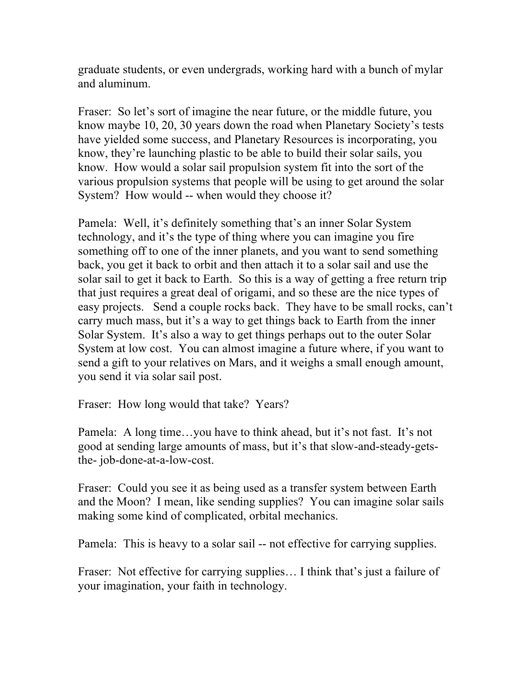graduate students, or even undergrads, working hard with a bunch of mylar and aluminum.

Fraser: So let's sort of imagine the near future, or the middle future, you know maybe 10, 20, 30 years down the road when Planetary Society's tests have yielded some success, and Planetary Resources is incorporating, you know, they're launching plastic to be able to build their solar sails, you know. How would a solar sail propulsion system fit into the sort of the various propulsion systems that people will be using to get around the solar System? How would -- when would they choose it?

Pamela: Well, it's definitely something that's an inner Solar System technology, and it's the type of thing where you can imagine you fire something off to one of the inner planets, and you want to send something back, you get it back to orbit and then attach it to a solar sail and use the solar sail to get it back to Earth. So this is a way of getting a free return trip that just requires a great deal of origami, and so these are the nice types of easy projects. Send a couple rocks back. They have to be small rocks, can't carry much mass, but it's a way to get things back to Earth from the inner Solar System. It's also a way to get things perhaps out to the outer Solar System at low cost. You can almost imagine a future where, if you want to send a gift to your relatives on Mars, and it weighs a small enough amount, you send it via solar sail post.

Fraser: How long would that take? Years?

Pamela: A long time…you have to think ahead, but it's not fast. It's not good at sending large amounts of mass, but it's that slow-and-steady-getsthe- job-done-at-a-low-cost.

Fraser: Could you see it as being used as a transfer system between Earth and the Moon? I mean, like sending supplies? You can imagine solar sails making some kind of complicated, orbital mechanics.

Pamela: This is heavy to a solar sail -- not effective for carrying supplies.

Fraser: Not effective for carrying supplies... I think that's just a failure of your imagination, your faith in technology.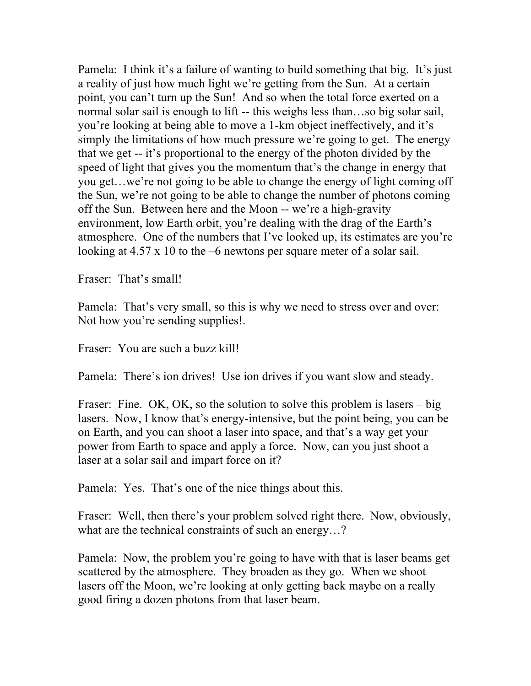Pamela: I think it's a failure of wanting to build something that big. It's just a reality of just how much light we're getting from the Sun. At a certain point, you can't turn up the Sun! And so when the total force exerted on a normal solar sail is enough to lift -- this weighs less than...so big solar sail, you're looking at being able to move a 1-km object ineffectively, and it's simply the limitations of how much pressure we're going to get. The energy that we get -- it's proportional to the energy of the photon divided by the speed of light that gives you the momentum that's the change in energy that you get…we're not going to be able to change the energy of light coming off the Sun, we're not going to be able to change the number of photons coming off the Sun. Between here and the Moon -- we're a high-gravity environment, low Earth orbit, you're dealing with the drag of the Earth's atmosphere. One of the numbers that I've looked up, its estimates are you're looking at 4.57 x 10 to the –6 newtons per square meter of a solar sail.

Fraser: That's small!

Pamela: That's very small, so this is why we need to stress over and over: Not how you're sending supplies!.

Fraser: You are such a buzz kill!

Pamela: There's ion drives! Use ion drives if you want slow and steady.

Fraser: Fine. OK, OK, so the solution to solve this problem is lasers – big lasers. Now, I know that's energy-intensive, but the point being, you can be on Earth, and you can shoot a laser into space, and that's a way get your power from Earth to space and apply a force. Now, can you just shoot a laser at a solar sail and impart force on it?

Pamela: Yes. That's one of the nice things about this.

Fraser: Well, then there's your problem solved right there. Now, obviously, what are the technical constraints of such an energy...?

Pamela: Now, the problem you're going to have with that is laser beams get scattered by the atmosphere. They broaden as they go. When we shoot lasers off the Moon, we're looking at only getting back maybe on a really good firing a dozen photons from that laser beam.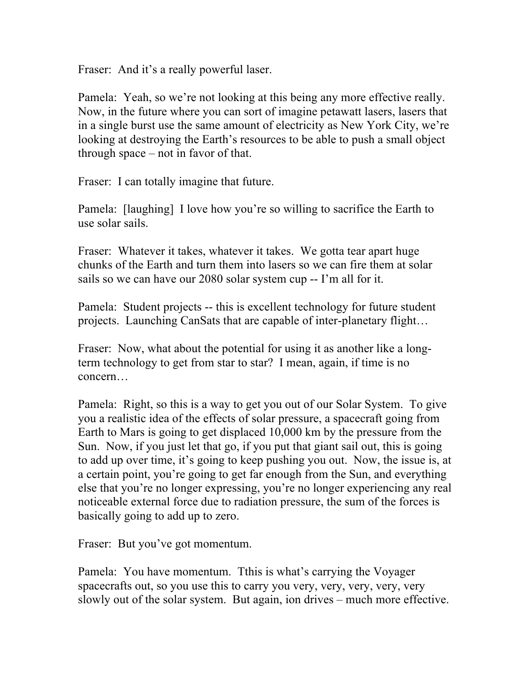Fraser: And it's a really powerful laser.

Pamela: Yeah, so we're not looking at this being any more effective really. Now, in the future where you can sort of imagine petawatt lasers, lasers that in a single burst use the same amount of electricity as New York City, we're looking at destroying the Earth's resources to be able to push a small object through space – not in favor of that.

Fraser: I can totally imagine that future.

Pamela: [laughing] I love how you're so willing to sacrifice the Earth to use solar sails.

Fraser: Whatever it takes, whatever it takes. We gotta tear apart huge chunks of the Earth and turn them into lasers so we can fire them at solar sails so we can have our 2080 solar system cup -- I'm all for it.

Pamela: Student projects -- this is excellent technology for future student projects. Launching CanSats that are capable of inter-planetary flight…

Fraser: Now, what about the potential for using it as another like a longterm technology to get from star to star? I mean, again, if time is no concern…

Pamela: Right, so this is a way to get you out of our Solar System. To give you a realistic idea of the effects of solar pressure, a spacecraft going from Earth to Mars is going to get displaced 10,000 km by the pressure from the Sun. Now, if you just let that go, if you put that giant sail out, this is going to add up over time, it's going to keep pushing you out. Now, the issue is, at a certain point, you're going to get far enough from the Sun, and everything else that you're no longer expressing, you're no longer experiencing any real noticeable external force due to radiation pressure, the sum of the forces is basically going to add up to zero.

Fraser: But you've got momentum.

Pamela: You have momentum. Tthis is what's carrying the Voyager spacecrafts out, so you use this to carry you very, very, very, very, very slowly out of the solar system. But again, ion drives – much more effective.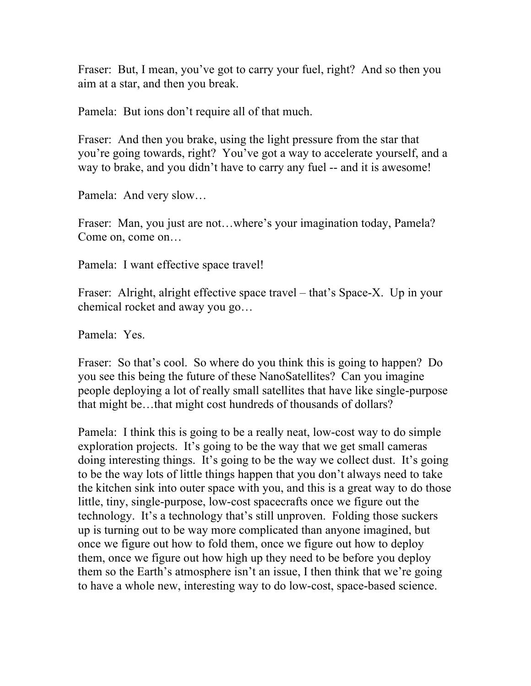Fraser: But, I mean, you've got to carry your fuel, right? And so then you aim at a star, and then you break.

Pamela: But ions don't require all of that much.

Fraser: And then you brake, using the light pressure from the star that you're going towards, right? You've got a way to accelerate yourself, and a way to brake, and you didn't have to carry any fuel -- and it is awesome!

Pamela: And very slow…

Fraser: Man, you just are not…where's your imagination today, Pamela? Come on, come on…

Pamela: I want effective space travel!

Fraser: Alright, alright effective space travel – that's Space-X. Up in your chemical rocket and away you go…

Pamela: Yes.

Fraser: So that's cool. So where do you think this is going to happen? Do you see this being the future of these NanoSatellites? Can you imagine people deploying a lot of really small satellites that have like single-purpose that might be…that might cost hundreds of thousands of dollars?

Pamela: I think this is going to be a really neat, low-cost way to do simple exploration projects. It's going to be the way that we get small cameras doing interesting things. It's going to be the way we collect dust. It's going to be the way lots of little things happen that you don't always need to take the kitchen sink into outer space with you, and this is a great way to do those little, tiny, single-purpose, low-cost spacecrafts once we figure out the technology. It's a technology that's still unproven. Folding those suckers up is turning out to be way more complicated than anyone imagined, but once we figure out how to fold them, once we figure out how to deploy them, once we figure out how high up they need to be before you deploy them so the Earth's atmosphere isn't an issue, I then think that we're going to have a whole new, interesting way to do low-cost, space-based science.